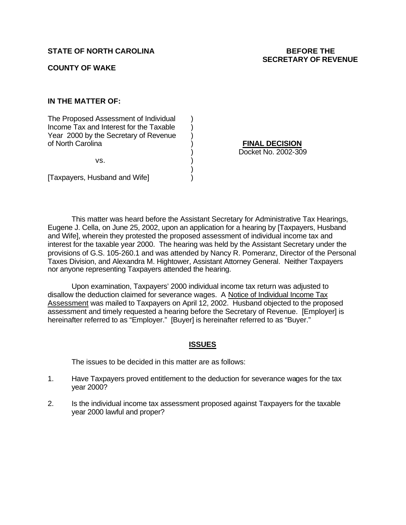#### **COUNTY OF WAKE**

# **IN THE MATTER OF:**

The Proposed Assessment of Individual (1) Income Tax and Interest for the Taxable  $\qquad)$ Year 2000 by the Secretary of Revenue ) of North Carolina ) **FINAL DECISION**

 $\mathsf{vs.} \qquad \qquad \mathsf{)}$ 

[Taxpayers, Husband and Wife] )

) Docket No. 2002-309

This matter was heard before the Assistant Secretary for Administrative Tax Hearings, Eugene J. Cella, on June 25, 2002, upon an application for a hearing by [Taxpayers, Husband and Wife], wherein they protested the proposed assessment of individual income tax and interest for the taxable year 2000. The hearing was held by the Assistant Secretary under the provisions of G.S. 105-260.1 and was attended by Nancy R. Pomeranz, Director of the Personal Taxes Division, and Alexandra M. Hightower, Assistant Attorney General. Neither Taxpayers nor anyone representing Taxpayers attended the hearing.

)

Upon examination, Taxpayers' 2000 individual income tax return was adjusted to disallow the deduction claimed for severance wages. A Notice of Individual Income Tax Assessment was mailed to Taxpayers on April 12, 2002. Husband objected to the proposed assessment and timely requested a hearing before the Secretary of Revenue. [Employer] is hereinafter referred to as "Employer." [Buyer] is hereinafter referred to as "Buyer."

#### **ISSUES**

The issues to be decided in this matter are as follows:

- 1. Have Taxpayers proved entitlement to the deduction for severance wages for the tax year 2000?
- 2. Is the individual income tax assessment proposed against Taxpayers for the taxable year 2000 lawful and proper?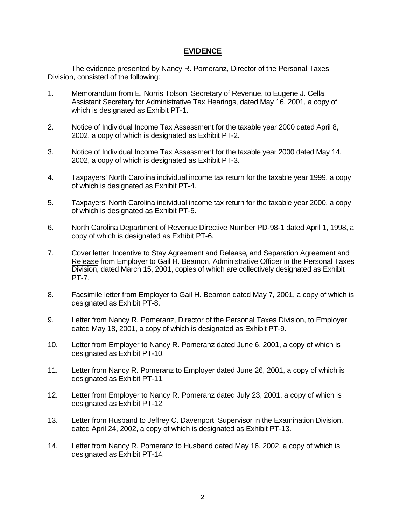### **EVIDENCE**

The evidence presented by Nancy R. Pomeranz, Director of the Personal Taxes Division, consisted of the following:

- 1. Memorandum from E. Norris Tolson, Secretary of Revenue, to Eugene J. Cella, Assistant Secretary for Administrative Tax Hearings, dated May 16, 2001, a copy of which is designated as Exhibit PT-1.
- 2. Notice of Individual Income Tax Assessment for the taxable year 2000 dated April 8, 2002, a copy of which is designated as Exhibit PT-2.
- 3. Notice of Individual Income Tax Assessment for the taxable year 2000 dated May 14, 2002, a copy of which is designated as Exhibit PT-3.
- 4. Taxpayers' North Carolina individual income tax return for the taxable year 1999, a copy of which is designated as Exhibit PT-4.
- 5. Taxpayers' North Carolina individual income tax return for the taxable year 2000, a copy of which is designated as Exhibit PT-5.
- 6. North Carolina Department of Revenue Directive Number PD-98-1 dated April 1, 1998, a copy of which is designated as Exhibit PT-6.
- 7. Cover letter, Incentive to Stay Agreement and Release, and Separation Agreement and Release from Employer to Gail H. Beamon, Administrative Officer in the Personal Taxes Division, dated March 15, 2001, copies of which are collectively designated as Exhibit PT-7.
- 8. Facsimile letter from Employer to Gail H. Beamon dated May 7, 2001, a copy of which is designated as Exhibit PT-8.
- 9. Letter from Nancy R. Pomeranz, Director of the Personal Taxes Division, to Employer dated May 18, 2001, a copy of which is designated as Exhibit PT-9.
- 10. Letter from Employer to Nancy R. Pomeranz dated June 6, 2001, a copy of which is designated as Exhibit PT-10.
- 11. Letter from Nancy R. Pomeranz to Employer dated June 26, 2001, a copy of which is designated as Exhibit PT-11.
- 12. Letter from Employer to Nancy R. Pomeranz dated July 23, 2001, a copy of which is designated as Exhibit PT-12.
- 13. Letter from Husband to Jeffrey C. Davenport, Supervisor in the Examination Division, dated April 24, 2002, a copy of which is designated as Exhibit PT-13.
- 14. Letter from Nancy R. Pomeranz to Husband dated May 16, 2002, a copy of which is designated as Exhibit PT-14.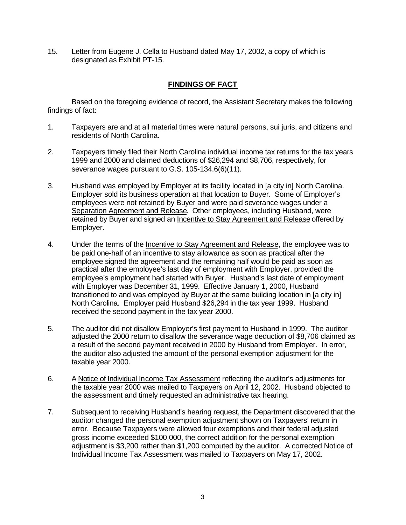15. Letter from Eugene J. Cella to Husband dated May 17, 2002, a copy of which is designated as Exhibit PT-15.

# **FINDINGS OF FACT**

Based on the foregoing evidence of record, the Assistant Secretary makes the following findings of fact:

- 1. Taxpayers are and at all material times were natural persons, sui juris, and citizens and residents of North Carolina.
- 2. Taxpayers timely filed their North Carolina individual income tax returns for the tax years 1999 and 2000 and claimed deductions of \$26,294 and \$8,706, respectively, for severance wages pursuant to G.S. 105-134.6(6)(11).
- 3. Husband was employed by Employer at its facility located in [a city in] North Carolina. Employer sold its business operation at that location to Buyer. Some of Employer's employees were not retained by Buyer and were paid severance wages under a Separation Agreement and Release. Other employees, including Husband, were retained by Buyer and signed an Incentive to Stay Agreement and Release offered by Employer.
- 4. Under the terms of the Incentive to Stay Agreement and Release, the employee was to be paid one-half of an incentive to stay allowance as soon as practical after the employee signed the agreement and the remaining half would be paid as soon as practical after the employee's last day of employment with Employer, provided the employee's employment had started with Buyer. Husband's last date of employment with Employer was December 31, 1999. Effective January 1, 2000, Husband transitioned to and was employed by Buyer at the same building location in [a city in] North Carolina. Employer paid Husband \$26,294 in the tax year 1999. Husband received the second payment in the tax year 2000.
- 5. The auditor did not disallow Employer's first payment to Husband in 1999. The auditor adjusted the 2000 return to disallow the severance wage deduction of \$8,706 claimed as a result of the second payment received in 2000 by Husband from Employer. In error, the auditor also adjusted the amount of the personal exemption adjustment for the taxable year 2000.
- 6. A Notice of Individual Income Tax Assessment reflecting the auditor's adjustments for the taxable year 2000 was mailed to Taxpayers on April 12, 2002. Husband objected to the assessment and timely requested an administrative tax hearing.
- 7. Subsequent to receiving Husband's hearing request, the Department discovered that the auditor changed the personal exemption adjustment shown on Taxpayers' return in error. Because Taxpayers were allowed four exemptions and their federal adjusted gross income exceeded \$100,000, the correct addition for the personal exemption adjustment is \$3,200 rather than \$1,200 computed by the auditor. A corrected Notice of Individual Income Tax Assessment was mailed to Taxpayers on May 17, 2002.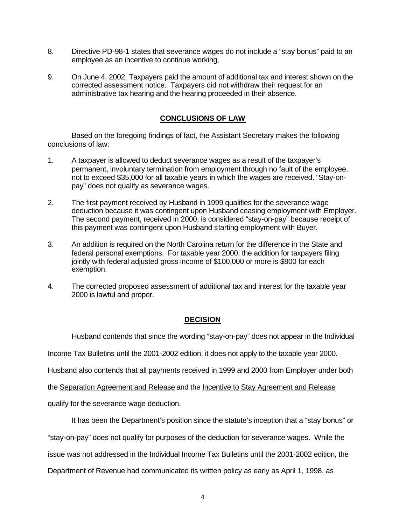- 8. Directive PD-98-1 states that severance wages do not include a "stay bonus" paid to an employee as an incentive to continue working.
- 9. On June 4, 2002, Taxpayers paid the amount of additional tax and interest shown on the corrected assessment notice. Taxpayers did not withdraw their request for an administrative tax hearing and the hearing proceeded in their absence.

# **CONCLUSIONS OF LAW**

Based on the foregoing findings of fact, the Assistant Secretary makes the following conclusions of law:

- 1. A taxpayer is allowed to deduct severance wages as a result of the taxpayer's permanent, involuntary termination from employment through no fault of the employee, not to exceed \$35,000 for all taxable years in which the wages are received. "Stay-onpay" does not qualify as severance wages.
- 2. The first payment received by Husband in 1999 qualifies for the severance wage deduction because it was contingent upon Husband ceasing employment with Employer. The second payment, received in 2000, is considered "stay-on-pay" because receipt of this payment was contingent upon Husband starting employment with Buyer.
- 3. An addition is required on the North Carolina return for the difference in the State and federal personal exemptions. For taxable year 2000, the addition for taxpayers filing jointly with federal adjusted gross income of \$100,000 or more is \$800 for each exemption.
- 4. The corrected proposed assessment of additional tax and interest for the taxable year 2000 is lawful and proper.

# **DECISION**

Husband contends that since the wording "stay-on-pay" does not appear in the Individual

Income Tax Bulletins until the 2001-2002 edition, it does not apply to the taxable year 2000.

Husband also contends that all payments received in 1999 and 2000 from Employer under both

the Separation Agreement and Release and the Incentive to Stay Agreement and Release

qualify for the severance wage deduction.

It has been the Department's position since the statute's inception that a "stay bonus" or

"stay-on-pay" does not qualify for purposes of the deduction for severance wages. While the

issue was not addressed in the Individual Income Tax Bulletins until the 2001-2002 edition, the

Department of Revenue had communicated its written policy as early as April 1, 1998, as